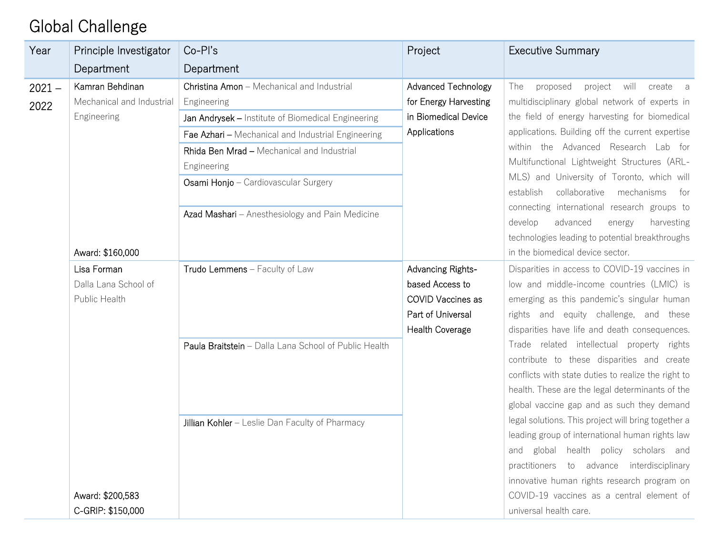## Global Challenge

| Year             | Principle Investigator                                      | $Co-PI's$                                                                                                                                                                                                                                                                                                                     | Project                                                                                                  | <b>Executive Summary</b>                                                                                                                                                                                                                                                                                                                                                                                                                                                                                                                        |
|------------------|-------------------------------------------------------------|-------------------------------------------------------------------------------------------------------------------------------------------------------------------------------------------------------------------------------------------------------------------------------------------------------------------------------|----------------------------------------------------------------------------------------------------------|-------------------------------------------------------------------------------------------------------------------------------------------------------------------------------------------------------------------------------------------------------------------------------------------------------------------------------------------------------------------------------------------------------------------------------------------------------------------------------------------------------------------------------------------------|
|                  | Department                                                  | Department                                                                                                                                                                                                                                                                                                                    |                                                                                                          |                                                                                                                                                                                                                                                                                                                                                                                                                                                                                                                                                 |
| $2021 -$<br>2022 | Kamran Behdinan<br>Mechanical and Industrial<br>Engineering | Christina Amon - Mechanical and Industrial<br>Engineering<br>Jan Andrysek - Institute of Biomedical Engineering<br>Fae Azhari - Mechanical and Industrial Engineering<br>Rhida Ben Mrad - Mechanical and Industrial<br>Engineering<br>Osami Honjo - Cardiovascular Surgery<br>Azad Mashari - Anesthesiology and Pain Medicine | <b>Advanced Technology</b><br>for Energy Harvesting<br>in Biomedical Device<br>Applications              | will<br>The<br>proposed<br>project<br>create a<br>multidisciplinary global network of experts in<br>the field of energy harvesting for biomedical<br>applications. Building off the current expertise<br>within the Advanced Research Lab for<br>Multifunctional Lightweight Structures (ARL-<br>MLS) and University of Toronto, which will<br>mechanisms<br>establish<br>collaborative<br>for<br>connecting international research groups to<br>advanced<br>develop<br>harvesting<br>energy<br>technologies leading to potential breakthroughs |
|                  | Award: \$160,000                                            |                                                                                                                                                                                                                                                                                                                               |                                                                                                          | in the biomedical device sector.                                                                                                                                                                                                                                                                                                                                                                                                                                                                                                                |
|                  | Lisa Forman<br>Dalla Lana School of<br>Public Health        | Trudo Lemmens - Faculty of Law                                                                                                                                                                                                                                                                                                | Advancing Rights-<br>based Access to<br>COVID Vaccines as<br>Part of Universal<br><b>Health Coverage</b> | Disparities in access to COVID-19 vaccines in<br>low and middle-income countries (LMIC) is<br>emerging as this pandemic's singular human<br>rights and equity challenge, and these<br>disparities have life and death consequences.                                                                                                                                                                                                                                                                                                             |
|                  |                                                             | Paula Braitstein - Dalla Lana School of Public Health                                                                                                                                                                                                                                                                         |                                                                                                          | Trade related intellectual property rights<br>contribute to these disparities and create<br>conflicts with state duties to realize the right to<br>health. These are the legal determinants of the<br>global vaccine gap and as such they demand                                                                                                                                                                                                                                                                                                |
|                  | Award: \$200,583<br>C-GRIP: \$150,000                       | Jillian Kohler - Leslie Dan Faculty of Pharmacy                                                                                                                                                                                                                                                                               |                                                                                                          | legal solutions. This project will bring together a<br>leading group of international human rights law<br>and global health policy scholars and<br>practitioners to advance interdisciplinary<br>innovative human rights research program on<br>COVID-19 vaccines as a central element of<br>universal health care.                                                                                                                                                                                                                             |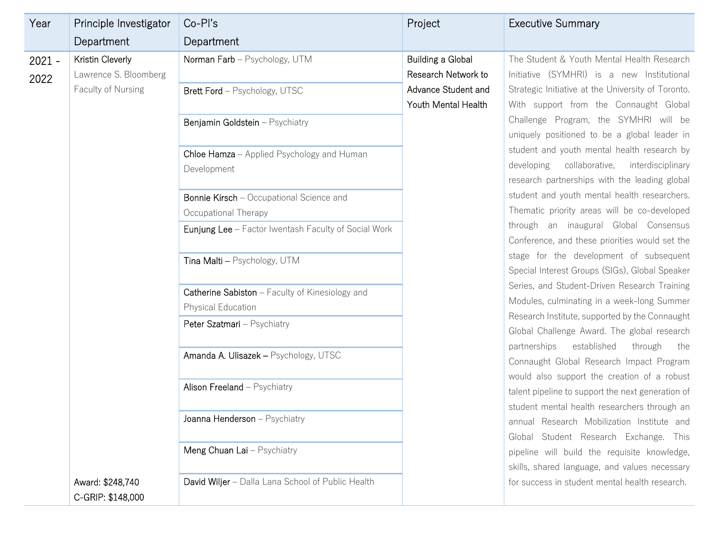| Year             | Principle Investigator                                          | Co-Pl's                                                                 | Project                                                         | <b>Executive Summary</b>                                                                                                                                                                                                                                                                     |
|------------------|-----------------------------------------------------------------|-------------------------------------------------------------------------|-----------------------------------------------------------------|----------------------------------------------------------------------------------------------------------------------------------------------------------------------------------------------------------------------------------------------------------------------------------------------|
|                  | Department                                                      | Department                                                              |                                                                 |                                                                                                                                                                                                                                                                                              |
| $2021 -$<br>2022 | Kristin Cleverly<br>Lawrence S. Bloomberg<br>Faculty of Nursing | Norman Farb - Psychology, UTM<br>Brett Ford - Psychology, UTSC          | Building a Global<br>Research Network to<br>Advance Student and | The Student & Youth Mental Health Research<br>Initiative (SYMHRI) is a new Institutional<br>Strategic Initiative at the University of Toronto.                                                                                                                                               |
|                  |                                                                 |                                                                         | Youth Mental Health                                             | With support from the Connaught Global                                                                                                                                                                                                                                                       |
|                  |                                                                 | Benjamin Goldstein - Psychiatry                                         |                                                                 | Challenge Program, the SYMHRI will be<br>uniquely positioned to be a global leader in                                                                                                                                                                                                        |
|                  |                                                                 | Chloe Hamza - Applied Psychology and Human<br>Development               |                                                                 | student and youth mental health research by<br>developing<br>collaborative,<br>interdisciplinary<br>research partnerships with the leading global                                                                                                                                            |
|                  |                                                                 | <b>Bonnie Kirsch</b> - Occupational Science and<br>Occupational Therapy |                                                                 | student and youth mental health researchers.<br>Thematic priority areas will be co-developed                                                                                                                                                                                                 |
|                  |                                                                 | Eunjung Lee - Factor Iwentash Faculty of Social Work                    |                                                                 | through an inaugural Global Consensus<br>Conference, and these priorities would set the                                                                                                                                                                                                      |
|                  |                                                                 | Tina Malti - Psychology, UTM                                            |                                                                 | stage for the development of subsequent<br>Special Interest Groups (SIGs), Global Speaker                                                                                                                                                                                                    |
|                  |                                                                 | Catherine Sabiston - Faculty of Kinesiology and                         |                                                                 | Series, and Student-Driven Research Training                                                                                                                                                                                                                                                 |
|                  |                                                                 | <b>Physical Education</b>                                               |                                                                 | Modules, culminating in a week-long Summer<br>Research Institute, supported by the Connaught                                                                                                                                                                                                 |
|                  |                                                                 | Peter Szatmari - Psychiatry                                             |                                                                 | Global Challenge Award. The global research<br>established<br>through<br>partnerships<br>the<br>Connaught Global Research Impact Program<br>would also support the creation of a robust<br>talent pipeline to support the next generation of<br>student mental health researchers through an |
|                  |                                                                 | Amanda A. Ulisazek - Psychology, UTSC                                   |                                                                 |                                                                                                                                                                                                                                                                                              |
|                  |                                                                 | Alison Freeland - Psychiatry                                            |                                                                 |                                                                                                                                                                                                                                                                                              |
|                  |                                                                 | Joanna Henderson - Psychiatry                                           |                                                                 | annual Research Mobilization Institute and<br>Global Student Research Exchange. This                                                                                                                                                                                                         |
|                  |                                                                 | Meng Chuan Lai - Psychiatry                                             |                                                                 | pipeline will build the requisite knowledge,<br>skills, shared language, and values necessary                                                                                                                                                                                                |
|                  | Award: \$248,740<br>C-GRIP: \$148,000                           | David Wiljer - Dalla Lana School of Public Health                       |                                                                 | for success in student mental health research.                                                                                                                                                                                                                                               |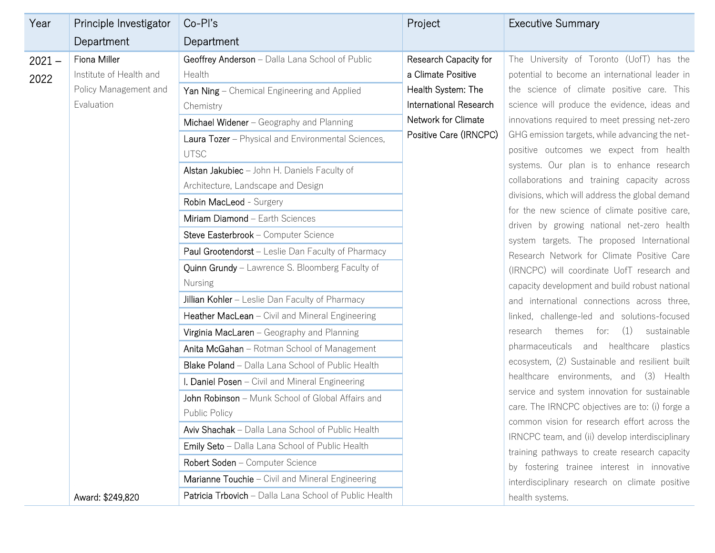| Year             | Principle Investigator                                                         | $Co-PI's$                                                                                                                                                                                                                                                                                                                                                                                                                                                                                                                                                                                                                                                                                                                                                                                                                                                                                                                                             | Project                                                                                                                                      | <b>Executive Summary</b>                                                                                                                                                                                                                                                                                                                                                                                                                                                                                                                                                                                                                                                                                                                                                                                                                                                                                                                                                                                                                                                                                                                                                 |
|------------------|--------------------------------------------------------------------------------|-------------------------------------------------------------------------------------------------------------------------------------------------------------------------------------------------------------------------------------------------------------------------------------------------------------------------------------------------------------------------------------------------------------------------------------------------------------------------------------------------------------------------------------------------------------------------------------------------------------------------------------------------------------------------------------------------------------------------------------------------------------------------------------------------------------------------------------------------------------------------------------------------------------------------------------------------------|----------------------------------------------------------------------------------------------------------------------------------------------|--------------------------------------------------------------------------------------------------------------------------------------------------------------------------------------------------------------------------------------------------------------------------------------------------------------------------------------------------------------------------------------------------------------------------------------------------------------------------------------------------------------------------------------------------------------------------------------------------------------------------------------------------------------------------------------------------------------------------------------------------------------------------------------------------------------------------------------------------------------------------------------------------------------------------------------------------------------------------------------------------------------------------------------------------------------------------------------------------------------------------------------------------------------------------|
|                  | Department                                                                     | Department                                                                                                                                                                                                                                                                                                                                                                                                                                                                                                                                                                                                                                                                                                                                                                                                                                                                                                                                            |                                                                                                                                              |                                                                                                                                                                                                                                                                                                                                                                                                                                                                                                                                                                                                                                                                                                                                                                                                                                                                                                                                                                                                                                                                                                                                                                          |
| $2021 -$<br>2022 | Fiona Miller<br>Institute of Health and<br>Policy Management and<br>Evaluation | Geoffrey Anderson - Dalla Lana School of Public<br>Health<br>Yan Ning - Chemical Engineering and Applied<br>Chemistry<br>Michael Widener - Geography and Planning<br>Laura Tozer - Physical and Environmental Sciences,<br><b>UTSC</b><br>Alstan Jakubiec - John H. Daniels Faculty of<br>Architecture, Landscape and Design<br>Robin MacLeod - Surgery<br>Miriam Diamond - Earth Sciences<br>Steve Easterbrook - Computer Science<br>Paul Grootendorst - Leslie Dan Faculty of Pharmacy<br>Quinn Grundy - Lawrence S. Bloomberg Faculty of<br><b>Nursing</b><br>Jillian Kohler - Leslie Dan Faculty of Pharmacy<br>Heather MacLean - Civil and Mineral Engineering<br>Virginia MacLaren - Geography and Planning<br>Anita McGahan - Rotman School of Management<br>Blake Poland - Dalla Lana School of Public Health<br>I. Daniel Posen - Civil and Mineral Engineering<br>John Robinson - Munk School of Global Affairs and<br><b>Public Policy</b> | Research Capacity for<br>a Climate Positive<br>Health System: The<br>International Research<br>Network for Climate<br>Positive Care (IRNCPC) | The University of Toronto (UofT) has the<br>potential to become an international leader in<br>the science of climate positive care. This<br>science will produce the evidence, ideas and<br>innovations required to meet pressing net-zero<br>GHG emission targets, while advancing the net-<br>positive outcomes we expect from health<br>systems. Our plan is to enhance research<br>collaborations and training capacity across<br>divisions, which will address the global demand<br>for the new science of climate positive care,<br>driven by growing national net-zero health<br>system targets. The proposed International<br>Research Network for Climate Positive Care<br>(IRNCPC) will coordinate UofT research and<br>capacity development and build robust national<br>and international connections across three,<br>linked, challenge-led and solutions-focused<br>for: (1)<br>research themes<br>sustainable<br>pharmaceuticals and healthcare plastics<br>ecosystem, (2) Sustainable and resilient built<br>healthcare environments, and (3) Health<br>service and system innovation for sustainable<br>care. The IRNCPC objectives are to: (i) forge a |
|                  |                                                                                | Aviv Shachak - Dalla Lana School of Public Health                                                                                                                                                                                                                                                                                                                                                                                                                                                                                                                                                                                                                                                                                                                                                                                                                                                                                                     |                                                                                                                                              | common vision for research effort across the                                                                                                                                                                                                                                                                                                                                                                                                                                                                                                                                                                                                                                                                                                                                                                                                                                                                                                                                                                                                                                                                                                                             |
|                  |                                                                                | Emily Seto - Dalla Lana School of Public Health                                                                                                                                                                                                                                                                                                                                                                                                                                                                                                                                                                                                                                                                                                                                                                                                                                                                                                       |                                                                                                                                              | IRNCPC team, and (ii) develop interdisciplinary                                                                                                                                                                                                                                                                                                                                                                                                                                                                                                                                                                                                                                                                                                                                                                                                                                                                                                                                                                                                                                                                                                                          |
|                  |                                                                                | Robert Soden - Computer Science                                                                                                                                                                                                                                                                                                                                                                                                                                                                                                                                                                                                                                                                                                                                                                                                                                                                                                                       |                                                                                                                                              | training pathways to create research capacity<br>by fostering trainee interest in innovative                                                                                                                                                                                                                                                                                                                                                                                                                                                                                                                                                                                                                                                                                                                                                                                                                                                                                                                                                                                                                                                                             |
|                  |                                                                                | Marianne Touchie - Civil and Mineral Engineering                                                                                                                                                                                                                                                                                                                                                                                                                                                                                                                                                                                                                                                                                                                                                                                                                                                                                                      |                                                                                                                                              | interdisciplinary research on climate positive                                                                                                                                                                                                                                                                                                                                                                                                                                                                                                                                                                                                                                                                                                                                                                                                                                                                                                                                                                                                                                                                                                                           |
|                  | Award: \$249,820                                                               | Patricia Trbovich - Dalla Lana School of Public Health                                                                                                                                                                                                                                                                                                                                                                                                                                                                                                                                                                                                                                                                                                                                                                                                                                                                                                |                                                                                                                                              | health systems.                                                                                                                                                                                                                                                                                                                                                                                                                                                                                                                                                                                                                                                                                                                                                                                                                                                                                                                                                                                                                                                                                                                                                          |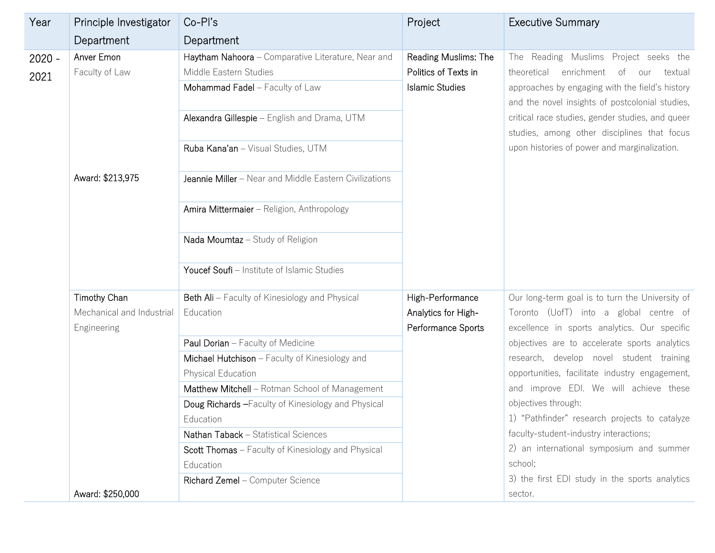| Year             | Principle Investigator       | Co-Pl's                                                                                                                                                                                               | Project                                                                | <b>Executive Summary</b>                                                                                                                                                                                                                                                                                                                            |
|------------------|------------------------------|-------------------------------------------------------------------------------------------------------------------------------------------------------------------------------------------------------|------------------------------------------------------------------------|-----------------------------------------------------------------------------------------------------------------------------------------------------------------------------------------------------------------------------------------------------------------------------------------------------------------------------------------------------|
|                  | Department                   | Department                                                                                                                                                                                            |                                                                        |                                                                                                                                                                                                                                                                                                                                                     |
| $2020 -$<br>2021 | Anver Emon<br>Faculty of Law | Haytham Nahoora - Comparative Literature, Near and<br>Middle Eastern Studies<br>Mohammad Fadel - Faculty of Law<br>Alexandra Gillespie - English and Drama, UTM<br>Ruba Kana'an - Visual Studies, UTM | Reading Muslims: The<br>Politics of Texts in<br><b>Islamic Studies</b> | The Reading Muslims Project seeks the<br>theoretical<br>enrichment<br>of<br>textual<br>our<br>approaches by engaging with the field's history<br>and the novel insights of postcolonial studies,<br>critical race studies, gender studies, and queer<br>studies, among other disciplines that focus<br>upon histories of power and marginalization. |
|                  | Award: \$213,975             | Jeannie Miller - Near and Middle Eastern Civilizations                                                                                                                                                |                                                                        |                                                                                                                                                                                                                                                                                                                                                     |
|                  |                              | Amira Mittermaier - Religion, Anthropology<br>Nada Moumtaz - Study of Religion                                                                                                                        |                                                                        |                                                                                                                                                                                                                                                                                                                                                     |
|                  |                              | Youcef Soufi - Institute of Islamic Studies                                                                                                                                                           |                                                                        |                                                                                                                                                                                                                                                                                                                                                     |
|                  | Timothy Chan                 | Beth Ali - Faculty of Kinesiology and Physical                                                                                                                                                        | High-Performance                                                       | Our long-term goal is to turn the University of                                                                                                                                                                                                                                                                                                     |
|                  | Mechanical and Industrial    | Education                                                                                                                                                                                             | Analytics for High-                                                    | Toronto (UofT) into a global centre of                                                                                                                                                                                                                                                                                                              |
|                  | Engineering                  |                                                                                                                                                                                                       | Performance Sports                                                     | excellence in sports analytics. Our specific                                                                                                                                                                                                                                                                                                        |
|                  |                              | Paul Dorian - Faculty of Medicine                                                                                                                                                                     |                                                                        | objectives are to accelerate sports analytics                                                                                                                                                                                                                                                                                                       |
|                  |                              | Michael Hutchison - Faculty of Kinesiology and                                                                                                                                                        |                                                                        | research, develop novel student training                                                                                                                                                                                                                                                                                                            |
|                  |                              | Physical Education                                                                                                                                                                                    |                                                                        | opportunities, facilitate industry engagement,                                                                                                                                                                                                                                                                                                      |
|                  |                              | Matthew Mitchell - Rotman School of Management                                                                                                                                                        |                                                                        | and improve EDI. We will achieve these                                                                                                                                                                                                                                                                                                              |
|                  |                              | Doug Richards - Faculty of Kinesiology and Physical                                                                                                                                                   |                                                                        | objectives through:                                                                                                                                                                                                                                                                                                                                 |
|                  |                              | Education                                                                                                                                                                                             |                                                                        | 1) "Pathfinder" research projects to catalyze                                                                                                                                                                                                                                                                                                       |
|                  |                              | Nathan Taback - Statistical Sciences                                                                                                                                                                  |                                                                        | faculty-student-industry interactions;                                                                                                                                                                                                                                                                                                              |
|                  |                              | Scott Thomas - Faculty of Kinesiology and Physical                                                                                                                                                    |                                                                        | 2) an international symposium and summer                                                                                                                                                                                                                                                                                                            |
|                  |                              | Education                                                                                                                                                                                             |                                                                        | school;                                                                                                                                                                                                                                                                                                                                             |
|                  |                              | Richard Zemel - Computer Science                                                                                                                                                                      |                                                                        | 3) the first EDI study in the sports analytics                                                                                                                                                                                                                                                                                                      |
|                  | Award: \$250,000             |                                                                                                                                                                                                       |                                                                        | sector.                                                                                                                                                                                                                                                                                                                                             |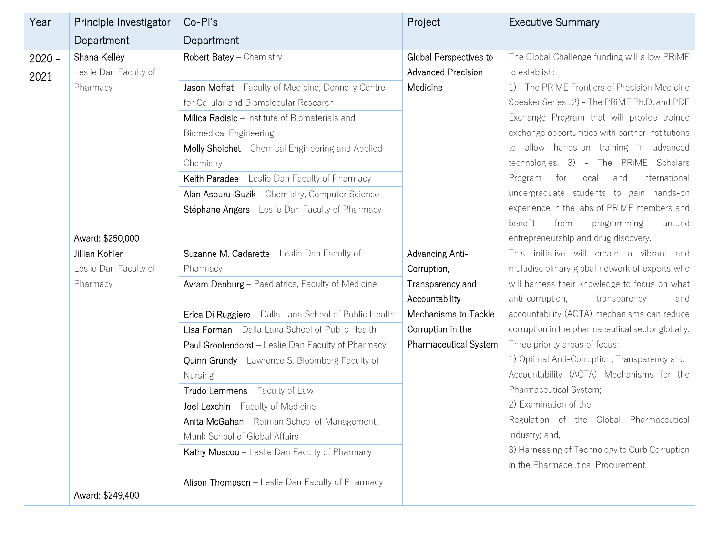| Year             | Principle Investigator                              | $Co-PI's$                                                                                                                                                                                                                                                                                                                                                                                                                                                                                           | Project                                                                                                                                                                       | <b>Executive Summary</b>                                                                                                                                                                                                                                                                                                                                                                                  |
|------------------|-----------------------------------------------------|-----------------------------------------------------------------------------------------------------------------------------------------------------------------------------------------------------------------------------------------------------------------------------------------------------------------------------------------------------------------------------------------------------------------------------------------------------------------------------------------------------|-------------------------------------------------------------------------------------------------------------------------------------------------------------------------------|-----------------------------------------------------------------------------------------------------------------------------------------------------------------------------------------------------------------------------------------------------------------------------------------------------------------------------------------------------------------------------------------------------------|
|                  | Department                                          | Department                                                                                                                                                                                                                                                                                                                                                                                                                                                                                          |                                                                                                                                                                               |                                                                                                                                                                                                                                                                                                                                                                                                           |
| $2020 -$<br>2021 | Shana Kelley<br>Leslie Dan Faculty of<br>Pharmacy   | Robert Batey - Chemistry<br>Jason Moffat - Faculty of Medicine, Donnelly Centre<br>for Cellular and Biomolecular Research<br>Milica Radisic - Institute of Biomaterials and<br><b>Biomedical Engineering</b><br>Molly Shoichet - Chemical Engineering and Applied<br>Chemistry<br>Keith Paradee - Leslie Dan Faculty of Pharmacy                                                                                                                                                                    | Global Perspectives to<br><b>Advanced Precision</b><br>Medicine                                                                                                               | The Global Challenge funding will allow PRIME<br>to establish:<br>1) - The PRIME Frontiers of Precision Medicine<br>Speaker Series . 2) - The PRIME Ph.D. and PDF<br>Exchange Program that will provide trainee<br>exchange opportunities with partner institutions<br>to allow hands-on training in advanced<br>technologies. 3) - The PRIME Scholars<br>for<br>local<br>international<br>Program<br>and |
|                  | Award: \$250,000                                    | Alán Aspuru-Guzik - Chemistry, Computer Science<br>Stéphane Angers - Leslie Dan Faculty of Pharmacy                                                                                                                                                                                                                                                                                                                                                                                                 |                                                                                                                                                                               | undergraduate students to gain hands-on<br>experience in the labs of PRIME members and<br>benefit<br>from<br>programming<br>around<br>entrepreneurship and drug discovery.                                                                                                                                                                                                                                |
|                  | Jillian Kohler<br>Leslie Dan Faculty of<br>Pharmacy | Suzanne M. Cadarette - Leslie Dan Faculty of<br>Pharmacy<br>Avram Denburg - Paediatrics, Faculty of Medicine                                                                                                                                                                                                                                                                                                                                                                                        | Advancing Anti-<br>Corruption,<br>Transparency and                                                                                                                            | This initiative will create a vibrant and<br>multidisciplinary global network of experts who<br>will harness their knowledge to focus on what                                                                                                                                                                                                                                                             |
|                  |                                                     | Erica Di Ruggiero - Dalla Lana School of Public Health<br>Lisa Forman - Dalla Lana School of Public Health<br>Paul Grootendorst - Leslie Dan Faculty of Pharmacy<br>Quinn Grundy - Lawrence S. Bloomberg Faculty of<br><b>Nursing</b><br>Trudo Lemmens - Faculty of Law<br>Joel Lexchin - Faculty of Medicine<br>Anita McGahan - Rotman School of Management,<br>Munk School of Global Affairs<br>Kathy Moscou - Leslie Dan Faculty of Pharmacy<br>Alison Thompson - Leslie Dan Faculty of Pharmacy | Accountability<br>anti-corruption,<br>Mechanisms to Tackle<br>Corruption in the<br>Pharmaceutical System<br>Pharmaceutical System;<br>2) Examination of the<br>Industry; and, | transparency<br>and<br>accountability (ACTA) mechanisms can reduce<br>corruption in the pharmaceutical sector globally.<br>Three priority areas of focus:<br>1) Optimal Anti-Corruption, Transparency and<br>Accountability (ACTA) Mechanisms for the<br>Regulation of the Global Pharmaceutical<br>3) Harnessing of Technology to Curb Corruption<br>in the Pharmaceutical Procurement.                  |
|                  | Award: \$249,400                                    |                                                                                                                                                                                                                                                                                                                                                                                                                                                                                                     |                                                                                                                                                                               |                                                                                                                                                                                                                                                                                                                                                                                                           |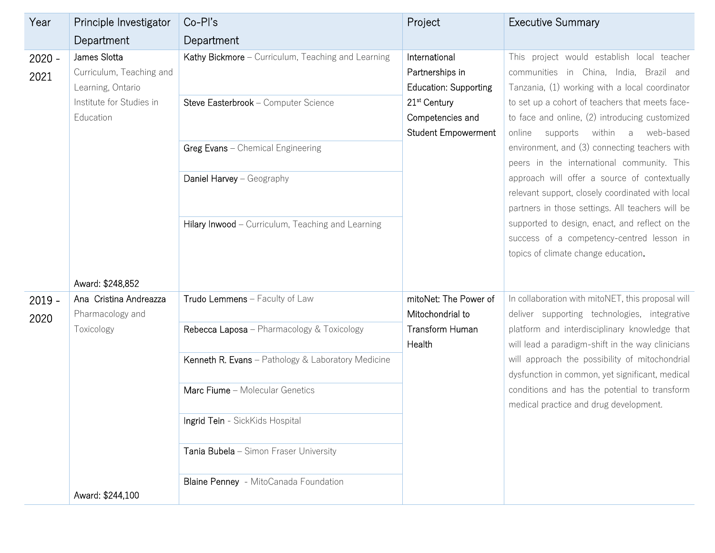| Year             | Principle Investigator                                        | Co-Pl's                                                                                    | Project                                                                    | <b>Executive Summary</b>                                                                                                                                                                   |
|------------------|---------------------------------------------------------------|--------------------------------------------------------------------------------------------|----------------------------------------------------------------------------|--------------------------------------------------------------------------------------------------------------------------------------------------------------------------------------------|
|                  | Department                                                    | Department                                                                                 |                                                                            |                                                                                                                                                                                            |
| $2020 -$<br>2021 | James Slotta<br>Curriculum, Teaching and<br>Learning, Ontario | Kathy Bickmore - Curriculum, Teaching and Learning<br>Steve Easterbrook - Computer Science | International<br>Partnerships in<br><b>Education: Supporting</b>           | This project would establish local teacher<br>communities in China, India, Brazil and<br>Tanzania, (1) working with a local coordinator<br>to set up a cohort of teachers that meets face- |
|                  | Institute for Studies in<br>Education                         |                                                                                            | 21 <sup>st</sup> Century<br>Competencies and<br><b>Student Empowerment</b> | to face and online, (2) introducing customized<br>supports<br>within<br>web-based<br>online<br>a                                                                                           |
|                  |                                                               | Greg Evans - Chemical Engineering                                                          |                                                                            | environment, and (3) connecting teachers with<br>peers in the international community. This                                                                                                |
|                  |                                                               | Daniel Harvey - Geography                                                                  |                                                                            | approach will offer a source of contextually<br>relevant support, closely coordinated with local<br>partners in those settings. All teachers will be                                       |
|                  |                                                               | Hilary Inwood - Curriculum, Teaching and Learning                                          |                                                                            | supported to design, enact, and reflect on the<br>success of a competency-centred lesson in<br>topics of climate change education.                                                         |
|                  | Award: \$248,852                                              |                                                                                            |                                                                            |                                                                                                                                                                                            |
| $2019 -$<br>2020 | Ana Cristina Andreazza<br>Pharmacology and                    | Trudo Lemmens - Faculty of Law                                                             | mitoNet: The Power of<br>Mitochondrial to                                  | In collaboration with mitoNET, this proposal will<br>deliver supporting technologies, integrative                                                                                          |
|                  | Toxicology                                                    | Rebecca Laposa - Pharmacology & Toxicology                                                 | Transform Human<br>Health                                                  | platform and interdisciplinary knowledge that<br>will lead a paradigm-shift in the way clinicians                                                                                          |
|                  |                                                               | Kenneth R. Evans - Pathology & Laboratory Medicine                                         |                                                                            | will approach the possibility of mitochondrial<br>dysfunction in common, yet significant, medical                                                                                          |
|                  |                                                               | Marc Fiume - Molecular Genetics                                                            |                                                                            | conditions and has the potential to transform<br>medical practice and drug development.                                                                                                    |
|                  |                                                               | Ingrid Tein - SickKids Hospital                                                            |                                                                            |                                                                                                                                                                                            |
|                  |                                                               | Tania Bubela - Simon Fraser University                                                     |                                                                            |                                                                                                                                                                                            |
|                  | Award: \$244,100                                              | Blaine Penney - MitoCanada Foundation                                                      |                                                                            |                                                                                                                                                                                            |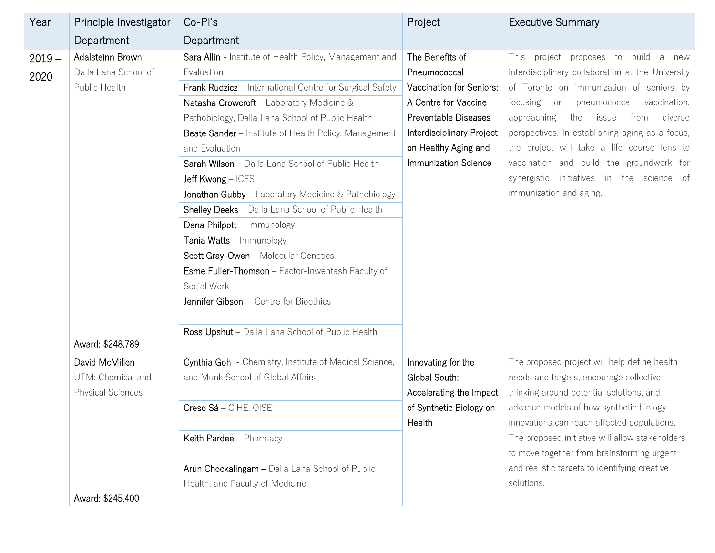| Year             | Principle Investigator                                                        | $Co-PI's$                                                                                                                                                                                                                                                                                                                                                                                                                                                                                                                                                                                                                                                                                                                                                                | Project                                                                                                                                                                                  | <b>Executive Summary</b>                                                                                                                                                                                                                                                                                                                                                                                                                                                 |
|------------------|-------------------------------------------------------------------------------|--------------------------------------------------------------------------------------------------------------------------------------------------------------------------------------------------------------------------------------------------------------------------------------------------------------------------------------------------------------------------------------------------------------------------------------------------------------------------------------------------------------------------------------------------------------------------------------------------------------------------------------------------------------------------------------------------------------------------------------------------------------------------|------------------------------------------------------------------------------------------------------------------------------------------------------------------------------------------|--------------------------------------------------------------------------------------------------------------------------------------------------------------------------------------------------------------------------------------------------------------------------------------------------------------------------------------------------------------------------------------------------------------------------------------------------------------------------|
|                  | Department                                                                    | Department                                                                                                                                                                                                                                                                                                                                                                                                                                                                                                                                                                                                                                                                                                                                                               |                                                                                                                                                                                          |                                                                                                                                                                                                                                                                                                                                                                                                                                                                          |
| $2019 -$<br>2020 | Adalsteinn Brown<br>Dalla Lana School of<br>Public Health<br>Award: \$248,789 | Sara Allin - Institute of Health Policy, Management and<br>Evaluation<br>Frank Rudzicz - International Centre for Surgical Safety<br>Natasha Crowcroft - Laboratory Medicine &<br>Pathobiology, Dalla Lana School of Public Health<br>Beate Sander - Institute of Health Policy, Management<br>and Evaluation<br>Sarah Wilson - Dalla Lana School of Public Health<br>Jeff Kwong - ICES<br>Jonathan Gubby - Laboratory Medicine & Pathobiology<br>Shelley Deeks - Dalla Lana School of Public Health<br>Dana Philpott - Immunology<br>Tania Watts - Immunology<br>Scott Gray-Owen - Molecular Genetics<br>Esme Fuller-Thomson - Factor-Inwentash Faculty of<br>Social Work<br>Jennifer Gibson - Centre for Bioethics<br>Ross Upshut - Dalla Lana School of Public Health | The Benefits of<br>Pneumococcal<br>Vaccination for Seniors:<br>A Centre for Vaccine<br>Preventable Diseases<br>Interdisciplinary Project<br>on Healthy Aging and<br>Immunization Science | build<br>project<br>proposes to<br>This<br>a<br>new<br>interdisciplinary collaboration at the University<br>of Toronto on immunization of seniors by<br>focusing on pneumococcal<br>vaccination,<br>approaching<br>the<br>issue<br>diverse<br>from<br>perspectives. In establishing aging as a focus,<br>the project will take a life course lens to<br>vaccination and build the groundwork for<br>synergistic initiatives in the science of<br>immunization and aging. |
|                  | David McMillen<br>UTM: Chemical and<br><b>Physical Sciences</b>               | Cynthia Goh - Chemistry, Institute of Medical Science,<br>and Munk School of Global Affairs<br>Creso Sá - CIHE, OISE<br>Keith Pardee - Pharmacy<br>Arun Chockalingam - Dalla Lana School of Public<br>Health, and Faculty of Medicine                                                                                                                                                                                                                                                                                                                                                                                                                                                                                                                                    | Innovating for the<br>Global South:<br>Accelerating the Impact<br>of Synthetic Biology on<br>Health                                                                                      | The proposed project will help define health<br>needs and targets, encourage collective<br>thinking around potential solutions, and<br>advance models of how synthetic biology<br>innovations can reach affected populations.<br>The proposed initiative will allow stakeholders<br>to move together from brainstorming urgent<br>and realistic targets to identifying creative<br>solutions.                                                                            |
|                  | Award: \$245,400                                                              |                                                                                                                                                                                                                                                                                                                                                                                                                                                                                                                                                                                                                                                                                                                                                                          |                                                                                                                                                                                          |                                                                                                                                                                                                                                                                                                                                                                                                                                                                          |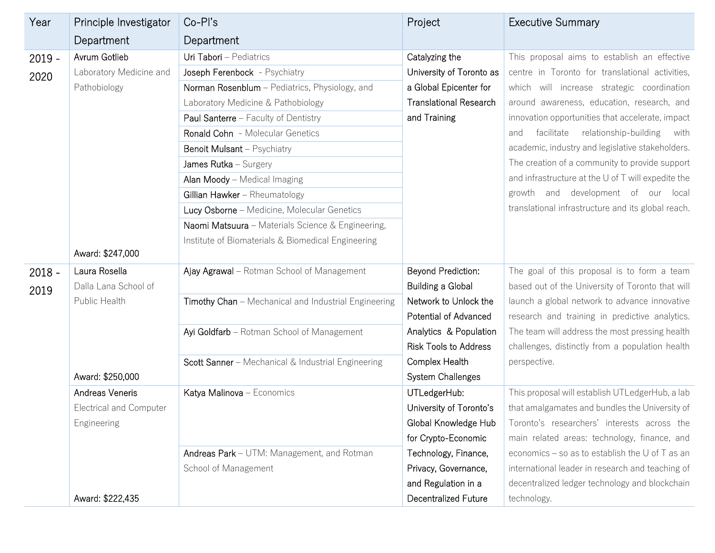| Year             | Principle Investigator                                    | Co-Pl's                                                                                                                                                                                                                                                                                                                                                                                                                                                          | Project                                                                                                               | <b>Executive Summary</b>                                                                                                                                                                                                                                                                                                                                                                                                                                                                                                                                       |
|------------------|-----------------------------------------------------------|------------------------------------------------------------------------------------------------------------------------------------------------------------------------------------------------------------------------------------------------------------------------------------------------------------------------------------------------------------------------------------------------------------------------------------------------------------------|-----------------------------------------------------------------------------------------------------------------------|----------------------------------------------------------------------------------------------------------------------------------------------------------------------------------------------------------------------------------------------------------------------------------------------------------------------------------------------------------------------------------------------------------------------------------------------------------------------------------------------------------------------------------------------------------------|
|                  | Department                                                | Department                                                                                                                                                                                                                                                                                                                                                                                                                                                       |                                                                                                                       |                                                                                                                                                                                                                                                                                                                                                                                                                                                                                                                                                                |
| $2019 -$<br>2020 | Avrum Gotlieb<br>Laboratory Medicine and<br>Pathobiology  | Uri Tabori - Pediatrics<br>Joseph Ferenbock - Psychiatry<br>Norman Rosenblum - Pediatrics, Physiology, and<br>Laboratory Medicine & Pathobiology<br>Paul Santerre - Faculty of Dentistry<br>Ronald Cohn - Molecular Genetics<br><b>Benoit Mulsant</b> - Psychiatry<br>James Rutka - Surgery<br>Alan Moody - Medical Imaging<br>Gillian Hawker - Rheumatology<br>Lucy Osborne - Medicine, Molecular Genetics<br>Naomi Matsuura - Materials Science & Engineering, | Catalyzing the<br>University of Toronto as<br>a Global Epicenter for<br><b>Translational Research</b><br>and Training | This proposal aims to establish an effective<br>centre in Toronto for translational activities,<br>which will increase strategic coordination<br>around awareness, education, research, and<br>innovation opportunities that accelerate, impact<br>facilitate<br>relationship-building<br>with<br>and<br>academic, industry and legislative stakeholders.<br>The creation of a community to provide support<br>and infrastructure at the U of T will expedite the<br>growth and development of our local<br>translational infrastructure and its global reach. |
|                  | Award: \$247,000                                          | Institute of Biomaterials & Biomedical Engineering                                                                                                                                                                                                                                                                                                                                                                                                               |                                                                                                                       |                                                                                                                                                                                                                                                                                                                                                                                                                                                                                                                                                                |
| $2018 -$<br>2019 | Laura Rosella<br>Dalla Lana School of                     | Ajay Agrawal - Rotman School of Management                                                                                                                                                                                                                                                                                                                                                                                                                       | Beyond Prediction:<br>Building a Global                                                                               | The goal of this proposal is to form a team<br>based out of the University of Toronto that will                                                                                                                                                                                                                                                                                                                                                                                                                                                                |
|                  | Public Health                                             | Timothy Chan - Mechanical and Industrial Engineering                                                                                                                                                                                                                                                                                                                                                                                                             | Network to Unlock the<br>Potential of Advanced                                                                        | launch a global network to advance innovative<br>research and training in predictive analytics.                                                                                                                                                                                                                                                                                                                                                                                                                                                                |
|                  |                                                           | Ayi Goldfarb - Rotman School of Management                                                                                                                                                                                                                                                                                                                                                                                                                       | Analytics & Population<br><b>Risk Tools to Address</b>                                                                | The team will address the most pressing health<br>challenges, distinctly from a population health                                                                                                                                                                                                                                                                                                                                                                                                                                                              |
|                  | Award: \$250,000                                          | Scott Sanner - Mechanical & Industrial Engineering                                                                                                                                                                                                                                                                                                                                                                                                               | Complex Health<br>System Challenges                                                                                   | perspective.                                                                                                                                                                                                                                                                                                                                                                                                                                                                                                                                                   |
|                  | Andreas Veneris<br>Electrical and Computer<br>Engineering | Katya Malinova - Economics                                                                                                                                                                                                                                                                                                                                                                                                                                       | UTLedgerHub:<br>University of Toronto's<br>Global Knowledge Hub<br>for Crypto-Economic                                | This proposal will establish UTLedgerHub, a lab<br>that amalgamates and bundles the University of<br>Toronto's researchers' interests across the<br>main related areas: technology, finance, and                                                                                                                                                                                                                                                                                                                                                               |
|                  | Award: \$222,435                                          | Andreas Park - UTM: Management, and Rotman<br>School of Management                                                                                                                                                                                                                                                                                                                                                                                               | Technology, Finance,<br>Privacy, Governance,<br>and Regulation in a<br>Decentralized Future                           | economics – so as to establish the U of T as an<br>international leader in research and teaching of<br>decentralized ledger technology and blockchain<br>technology.                                                                                                                                                                                                                                                                                                                                                                                           |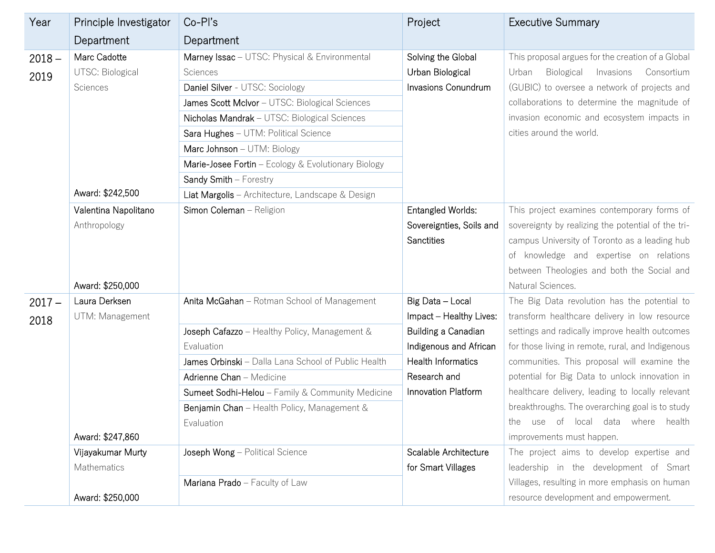| Year     | Principle Investigator | Co-Pl's                                             | Project                   | <b>Executive Summary</b>                           |
|----------|------------------------|-----------------------------------------------------|---------------------------|----------------------------------------------------|
|          | Department             | Department                                          |                           |                                                    |
| $2018 -$ | Marc Cadotte           | Marney Issac - UTSC: Physical & Environmental       | Solving the Global        | This proposal argues for the creation of a Global  |
| 2019     | UTSC: Biological       | Sciences                                            | Urban Biological          | Biological<br>Invasions<br>Urban<br>Consortium     |
|          | Sciences               | Daniel Silver - UTSC: Sociology                     | Invasions Conundrum       | (GUBIC) to oversee a network of projects and       |
|          |                        | James Scott McIvor - UTSC: Biological Sciences      |                           | collaborations to determine the magnitude of       |
|          |                        | Nicholas Mandrak - UTSC: Biological Sciences        |                           | invasion economic and ecosystem impacts in         |
|          |                        | Sara Hughes - UTM: Political Science                |                           | cities around the world.                           |
|          |                        | Marc Johnson - UTM: Biology                         |                           |                                                    |
|          |                        | Marie-Josee Fortin - Ecology & Evolutionary Biology |                           |                                                    |
|          |                        | Sandy Smith - Forestry                              |                           |                                                    |
|          | Award: \$242,500       | Liat Margolis - Architecture, Landscape & Design    |                           |                                                    |
|          | Valentina Napolitano   | Simon Coleman - Religion                            | Entangled Worlds:         | This project examines contemporary forms of        |
|          | Anthropology           |                                                     | Sovereignties, Soils and  | sovereignty by realizing the potential of the tri- |
|          |                        |                                                     | <b>Sanctities</b>         | campus University of Toronto as a leading hub      |
|          |                        |                                                     |                           | of knowledge and expertise on relations            |
|          |                        |                                                     |                           | between Theologies and both the Social and         |
|          | Award: \$250,000       |                                                     |                           | Natural Sciences.                                  |
| $2017 -$ | Laura Derksen          | Anita McGahan - Rotman School of Management         | Big Data - Local          | The Big Data revolution has the potential to       |
| 2018     | UTM: Management        |                                                     | Impact - Healthy Lives:   | transform healthcare delivery in low resource      |
|          |                        | Joseph Cafazzo - Healthy Policy, Management &       | Building a Canadian       | settings and radically improve health outcomes     |
|          |                        | Evaluation                                          | Indigenous and African    | for those living in remote, rural, and Indigenous  |
|          |                        | James Orbinski - Dalla Lana School of Public Health | <b>Health Informatics</b> | communities. This proposal will examine the        |
|          |                        | Adrienne Chan - Medicine                            | Research and              | potential for Big Data to unlock innovation in     |
|          |                        | Sumeet Sodhi-Helou - Family & Community Medicine    | Innovation Platform       | healthcare delivery, leading to locally relevant   |
|          |                        | Benjamin Chan - Health Policy, Management &         |                           | breakthroughs. The overarching goal is to study    |
|          |                        | Evaluation                                          |                           | use of local data where<br>health<br>the           |
|          | Award: \$247,860       |                                                     |                           | improvements must happen.                          |
|          | Vijayakumar Murty      | Joseph Wong - Political Science                     | Scalable Architecture     | The project aims to develop expertise and          |
|          | Mathematics            |                                                     | for Smart Villages        | leadership in the development of Smart             |
|          |                        | Mariana Prado - Faculty of Law                      |                           | Villages, resulting in more emphasis on human      |
|          | Award: \$250,000       |                                                     |                           | resource development and empowerment.              |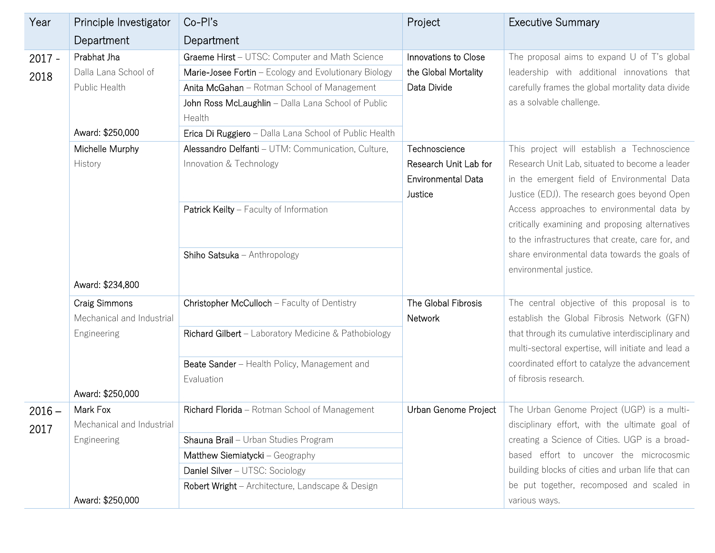| Year             | Principle Investigator                                                   | Co-Pl's                                                                                                                                                                                                                                                                          | Project                                                                        | <b>Executive Summary</b>                                                                                                                                                                                                                   |
|------------------|--------------------------------------------------------------------------|----------------------------------------------------------------------------------------------------------------------------------------------------------------------------------------------------------------------------------------------------------------------------------|--------------------------------------------------------------------------------|--------------------------------------------------------------------------------------------------------------------------------------------------------------------------------------------------------------------------------------------|
|                  | Department                                                               | Department                                                                                                                                                                                                                                                                       |                                                                                |                                                                                                                                                                                                                                            |
| $2017 -$<br>2018 | Prabhat Jha<br>Dalla Lana School of<br>Public Health<br>Award: \$250,000 | Graeme Hirst - UTSC: Computer and Math Science<br>Marie-Josee Fortin - Ecology and Evolutionary Biology<br>Anita McGahan - Rotman School of Management<br>John Ross McLaughlin - Dalla Lana School of Public<br>Health<br>Erica Di Ruggiero - Dalla Lana School of Public Health | Innovations to Close<br>the Global Mortality<br>Data Divide                    | The proposal aims to expand $U$ of T's global<br>leadership with additional innovations that<br>carefully frames the global mortality data divide<br>as a solvable challenge.                                                              |
|                  | Michelle Murphy<br>History                                               | Alessandro Delfanti - UTM: Communication, Culture,<br>Innovation & Technology<br>Patrick Keilty - Faculty of Information                                                                                                                                                         | Technoscience<br>Research Unit Lab for<br><b>Environmental Data</b><br>Justice | This project will establish a Technoscience<br>Research Unit Lab, situated to become a leader<br>in the emergent field of Environmental Data<br>Justice (EDJ). The research goes beyond Open<br>Access approaches to environmental data by |
|                  | Award: \$234,800                                                         | Shiho Satsuka - Anthropology                                                                                                                                                                                                                                                     |                                                                                | critically examining and proposing alternatives<br>to the infrastructures that create, care for, and<br>share environmental data towards the goals of<br>environmental justice.                                                            |
|                  | <b>Craig Simmons</b><br>Mechanical and Industrial                        | Christopher McCulloch - Faculty of Dentistry                                                                                                                                                                                                                                     | The Global Fibrosis<br>Network                                                 | The central objective of this proposal is to<br>establish the Global Fibrosis Network (GFN)                                                                                                                                                |
|                  | Engineering                                                              | Richard Gilbert - Laboratory Medicine & Pathobiology                                                                                                                                                                                                                             |                                                                                | that through its cumulative interdisciplinary and<br>multi-sectoral expertise, will initiate and lead a                                                                                                                                    |
|                  | Award: \$250,000                                                         | Beate Sander - Health Policy, Management and<br>Evaluation                                                                                                                                                                                                                       |                                                                                | coordinated effort to catalyze the advancement<br>of fibrosis research.                                                                                                                                                                    |
| $2016 -$<br>2017 | Mark Fox<br>Mechanical and Industrial                                    | Richard Florida - Rotman School of Management                                                                                                                                                                                                                                    | Urban Genome Project                                                           | The Urban Genome Project (UGP) is a multi-<br>disciplinary effort, with the ultimate goal of<br>creating a Science of Cities. UGP is a broad-                                                                                              |
|                  | Engineering                                                              | Shauna Brail - Urban Studies Program                                                                                                                                                                                                                                             |                                                                                |                                                                                                                                                                                                                                            |
|                  |                                                                          | Matthew Siemiatycki - Geography                                                                                                                                                                                                                                                  |                                                                                | based effort to uncover the microcosmic                                                                                                                                                                                                    |
|                  |                                                                          | Daniel Silver - UTSC: Sociology                                                                                                                                                                                                                                                  |                                                                                | building blocks of cities and urban life that can                                                                                                                                                                                          |
|                  | Award: \$250,000                                                         | Robert Wright - Architecture, Landscape & Design                                                                                                                                                                                                                                 |                                                                                | be put together, recomposed and scaled in<br>various ways.                                                                                                                                                                                 |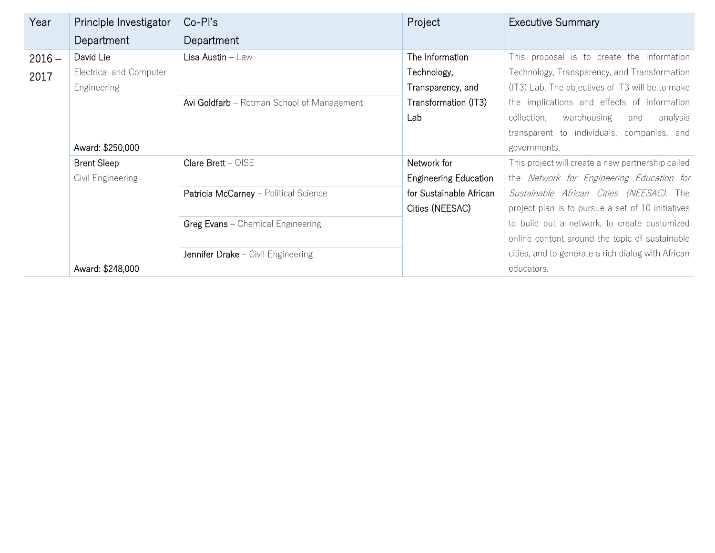| Year     | Principle Investigator  | $Co-PI's$                                  | Project                      | <b>Executive Summary</b>                           |
|----------|-------------------------|--------------------------------------------|------------------------------|----------------------------------------------------|
|          | Department              | Department                                 |                              |                                                    |
| $2016 -$ | David Lie               | Lisa Austin - Law                          | The Information              | This proposal is to create the Information         |
| 2017     | Electrical and Computer |                                            | Technology,                  | Technology, Transparency, and Transformation       |
|          | <b>Engineering</b>      |                                            | Transparency, and            | (IT3) Lab. The objectives of IT3 will be to make   |
|          |                         | Avi Goldfarb - Rotman School of Management | Transformation (IT3)         | the implications and effects of information        |
|          |                         |                                            | Lab                          | collection,<br>warehousing<br>analysis<br>and      |
|          |                         |                                            |                              | transparent to individuals, companies, and         |
|          | Award: \$250,000        |                                            |                              | governments.                                       |
|          | <b>Brent Sleep</b>      | Clare $Brett - OISE$                       | Network for                  | This project will create a new partnership called  |
|          | Civil Engineering       |                                            | <b>Engineering Education</b> | the Network for Engineering Education for          |
|          |                         | Patricia McCarney - Political Science      | for Sustainable African      | Sustainable African Cities (NEESAC). The           |
|          |                         |                                            | Cities (NEESAC)              | project plan is to pursue a set of 10 initiatives  |
|          |                         | Greg Evans - Chemical Engineering          |                              | to build out a network, to create customized       |
|          |                         |                                            |                              | online content around the topic of sustainable     |
|          |                         | Jennifer Drake - Civil Engineering         |                              | cities, and to generate a rich dialog with African |
|          | Award: \$248,000        |                                            |                              | educators.                                         |